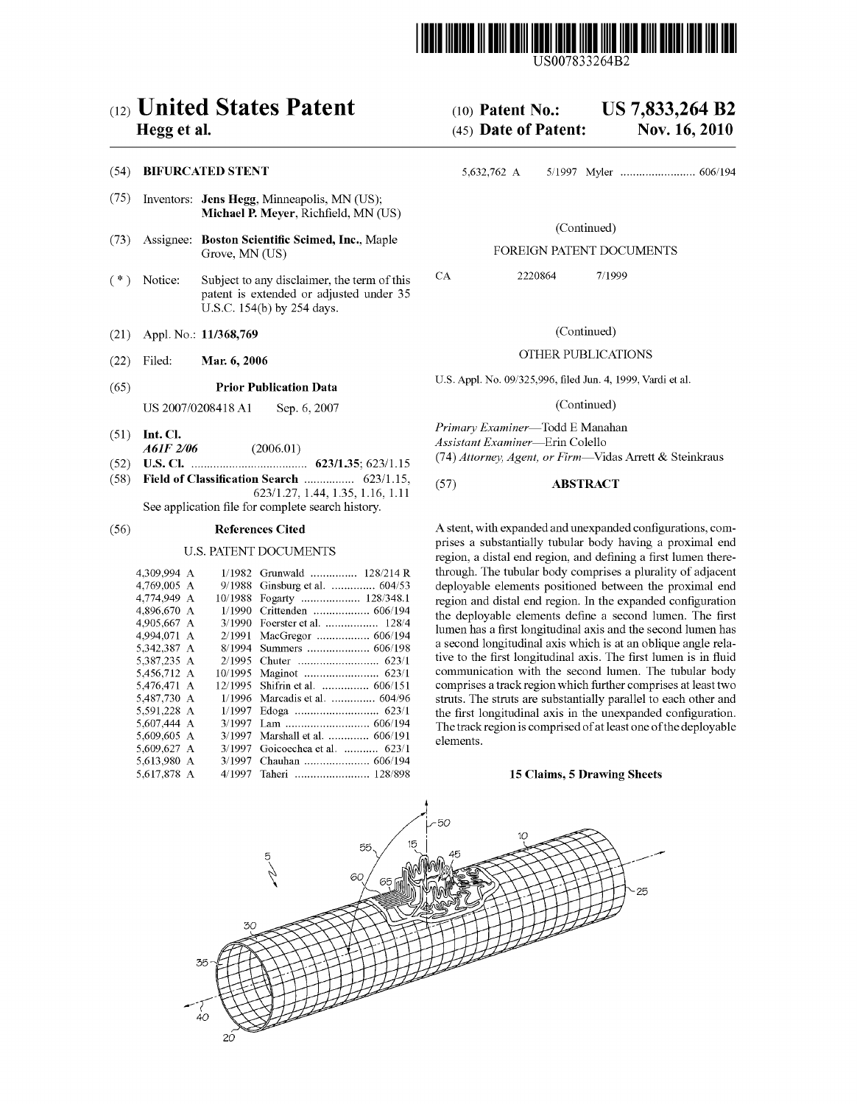

US007833264B2

# (12) United States Patent

# Hegg et al.

# (54) BIFURCATED STENT

- (75) Inventors: Jens Hegg, Minneapolis, MN (US); Michael P. Meyer, Richfield, MN (US)
- (73) Assignee: Boston Scientific Scimed, Inc., Maple Grove, MN (US)
- (\*) Notice: Subject to any disclaimer, the term of this patent is extended or adjusted under 35 U.S.C. 154(b) by 254 days.
- (21) Appl. No.: 11/368,769
- (22) Filed: Mar. 6, 2006

#### (65) Prior Publication Data

US 2007/0208418 A1 Sep. 6, 2007

- (51) Int. Cl.  $A6IF$   $2/06$  (2006.01)
- (52) U.S. Cl. ..................................... 623/1.35; 623/1.15
- (58) Field of Classification Search ................ 623/1.15, 623/1.27, 1.44, 1.35, 1.16, 1.11 See application file for complete search history.

# (56) References Cited

#### U.S. PATENT DOCUMENTS

| 4,309,994 A | 1/1982  | Grunwald  128/214 R       |
|-------------|---------|---------------------------|
| 4.769.005 A | 9/1988  | Ginsburg et al.  604/53   |
| 4.774.949 A | 10/1988 |                           |
|             |         | Fogarty  128/348.1        |
| 4.896.670 A | 1/1990  |                           |
| 4.905,667 A | 3/1990  |                           |
| 4.994.071 A | 2/1991  | MacGregor  606/194        |
| 5.342.387 A | 8/1994  |                           |
| 5.387.235 A | 2/1995  |                           |
| 5.456,712 A | 10/1995 |                           |
| 5.476.471 A | 12/1995 | Shifrin et al.  606/151   |
| 5.487,730 A | 1/1996  | Marcadis et al.  604/96   |
| 5,591,228 A | 1/1997  |                           |
| 5.607.444 A | 3/1997  |                           |
| 5,609,605 A | 3/1997  | Marshall et al.  606/191  |
| 5,609,627 A | 3/1997  | Goicoechea et al. $623/1$ |
| 5,613,980 A | 3/1997  |                           |
| 5.617.878 A | 4/1997  | Taheri  128/898           |

## US 7,833,264 B2 (10) Patent No.:

#### Nov. 16, 2010 (45) Date of Patent:

5,632,762 A 5/1997 Myler ........................ 606, 194

(Continued)

#### FOREIGN PATENT DOCUMENTS

CA 2220864 7/1999

## (Continued)

# OTHER PUBLICATIONS

U.S. Appl. No. 09/325,996, filed Jun. 4, 1999, Vardi et al.

(Continued)

Primary Examiner-Todd E Manahan Assistant Examiner-Erin Colello (74) Attorney, Agent, or Firm-Vidas Arrett & Steinkraus

#### (57) ABSTRACT

A stent, with expanded and unexpanded configurations, com prises a substantially tubular body having a proximal end region, a distal end region, and defining a first lumen there through. The tubular body comprises a plurality of adjacent deployable elements positioned between the proximal end region and distal end region. In the expanded configuration the deployable elements define a second lumen. The first lumen has a first longitudinal axis and the second lumen has a second longitudinal axis which is at an oblique angle rela tive to the first longitudinal axis. The first lumen is in fluid communication with the second lumen. The tubular body comprises a track region which further comprises at least two struts. The struts are substantially parallel to each other and the first longitudinal axis in the unexpanded configuration. The track region is comprised of at least one of the deployable elements.

#### 15 Claims, 5 Drawing Sheets

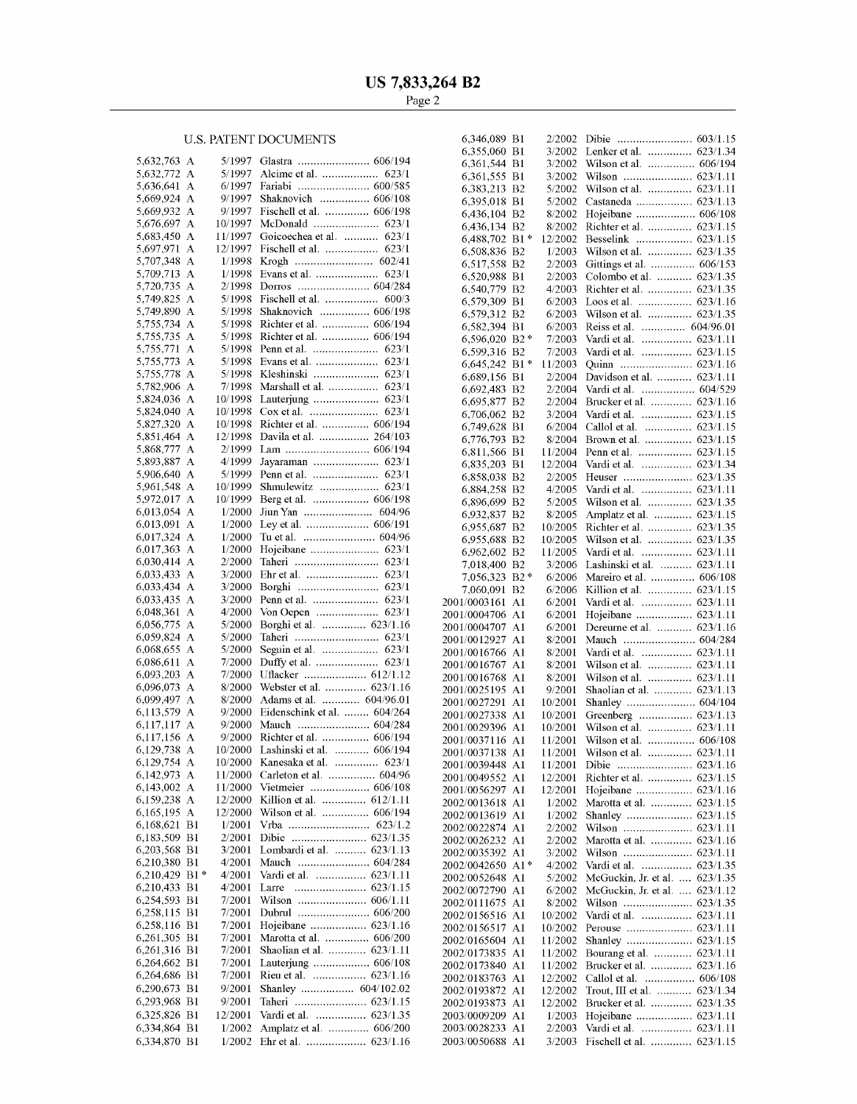# U.S. PATENT DOCUMENTS

| 5,632,763    | Α     | 5/1997  | Glastra  606/194             |
|--------------|-------|---------|------------------------------|
| 5,632,772    | A     | 5/1997  | Alcime et al.<br>623/1       |
|              |       |         |                              |
| 5,636,641    | А     | 6/1997  | Fariabi  600/585             |
| 5,669,924    | A     | 9/1997  | Shaknovich  606/108          |
| 5,669,932    | A     | 9/1997  | Fischell et al.  606/198     |
|              |       |         |                              |
| 5,676,697    | A     | 10/1997 | McDonald<br>623/1            |
| 5,683,450    | A     | 11/1997 | Goicoechea et al.<br>623/1   |
| 5,697,971    | А     | 12/1997 | Fischell et al.<br>623/1     |
|              |       |         |                              |
| 5,707,348    | A     | 1/1998  | Krogh  602/41                |
| 5,709,713    | А     | 1/1998  |                              |
| 5,720,735    | A     | 2/1998  | Dorros  604/284              |
|              | А     | 5/1998  | Fischell et al.<br>600/3     |
| 5,749,825    |       |         |                              |
| 5,749,890    | A     | 5/1998  | Shaknovich  606/198          |
| 5,755,734    | А     | 5/1998  | Richter et al.  606/194      |
| 5,755,735    | A     | 5/1998  | Richter et al.  606/194      |
|              |       |         |                              |
| 5,755,771    | A     | 5/1998  | Penn et al.<br>623/1         |
| 5,755,773    | A     | 5/1998  | Evans et al.<br>623/1        |
| 5,755,778    | A     | 5/1998  | Kleshinski  623/1            |
|              |       |         |                              |
| 5,782,906    | A     | 7/1998  | Marshall et al.<br>623/1     |
| 5,824,036    | A     | 10/1998 | Lauterjung<br>623/1          |
| 5,824,040    | A     | 10/1998 | Cox et al.<br>623/1          |
|              |       |         |                              |
| 5,827,320    | A     | 10/1998 | Richter et al.  606/194      |
| 5,851,464    | A     | 12/1998 | Davila et al.  264/103       |
| 5,868,777    | A     | 2/1999  | Lam  606/194                 |
|              |       |         |                              |
| 5,893,887    | A     | 4/1999  | Jayaraman<br>623/1           |
| 5,906,640    | A     | 5/1999  | Penn et al.<br>623/1         |
| 5,961,548    | A     | 10/1999 | Shmulewitz<br>623/1          |
|              |       |         |                              |
| 5,972,017    | A     | 10/1999 | Berg et al.  606/198         |
| 6,013,054    | A     | 1/2000  | Jiun Yan<br>604/96           |
| 6,013,091    | A     | 1/2000  | Ley et al.  606/191          |
| 6,017,324    | A     | 1/2000  | Tu et al.  604/96            |
|              |       |         |                              |
| 6,017,363    | A     | 1/2000  | Hojeibane  623/1             |
| 6,030,414    | А     | 2/2000  |                              |
| 6,033,433    | A     | 3/2000  | 623/1                        |
|              | А     | 3/2000  |                              |
| 6,033,434    |       |         |                              |
| 6,033,435    | A     | 3/2000  | Penn et al.<br>623/1         |
| 6,048,361    | А     | 4/2000  | Von Oepen<br>623/1           |
| 6,056,775    | A     | 5/2000  | Borghi et al.  623/1.16      |
| 6,059,824    | А     | 5/2000  | Taheri<br>623/1              |
|              |       |         |                              |
| 6,068,655    | A     | 5/2000  | Seguin et al.<br>623/1       |
| 6,086,611    | A     | 7/2000  | Duffy et al.<br>623/1        |
| 6,093,203    | A     | 7/2000  | Uflacker  612/1.12           |
| 6,096,073    | A     | 8/2000  | Webster et al.  623/1.16     |
|              |       |         |                              |
| 6,099,497    | A     | 8/2000  | Adams et al.  604/96.01      |
| 6,113,579    | A     | 9/2000  | Eidenschink et al.  604/264  |
| 6,117,117    | A     | 9/2000  | Mauch  604/284               |
|              |       | 9/2000  |                              |
| 6,117,156    | A     |         | Richter et al.  606/194      |
| 6,129,738    | A     | 10/2000 | Lashinski et al.  606/194    |
| 6,129,754    | A     | 10/2000 | Kanesaka et al.  623/1       |
| 6,142,973    | A     | 11/2000 |                              |
| 6,143,002    |       | 11/2000 | Vietmeier  606/108           |
|              | А     |         |                              |
| 6,159,238    | А     | 12/2000 | Killion et al.  612/1.11     |
| 6,165,195    | А     | 12/2000 | Wilson et al.  606/194       |
| 6,168,621    | B1    | 1/2001  | Vrba  623/1.2                |
|              |       |         |                              |
| 6,183,509    | B1    | 2/2001  | Dibie  623/1.35              |
| 6,203,568    | B1    | 3/2001  | Lombardi et al.  623/1.13    |
| 6,210,380    | B1    | 4/2001  | Mauch  604/284               |
| 6,210,429    | $B1*$ | 4/2001  | Vardi et al. ……………… 623/1.11 |
|              |       |         |                              |
| 6,210,433    | B1    | 4/2001  | Larre                        |
| 6,254,593    | B1    | 7/2001  | Wilson  606/1.11             |
| 6,258,115    | B1    | 7/2001  | Dubrul  606/200              |
| 6,258,116    | B1    | 7/2001  | Hojeibane  623/1.16          |
|              |       |         |                              |
| 6,261,305    | B1    | 7/2001  | Marotta et al.  606/200      |
| 6,261,316    | B1    | 7/2001  | Shaolian et al.  623/1.11    |
| 6,264,662    | B1    | 7/2001  | Lauterjung  606/108          |
| 6,264,686    | B1    | 7/2001  | Rieu et al.  623/1.16        |
|              |       |         |                              |
| 6,290,673    | B1    | 9/2001  | Shanley  604/102.02          |
| 6,293,968    | B1    | 9/2001  | Taheri  623/1.15             |
| 6,325,826    | B1    | 12/2001 | Vardi et al.  623/1.35       |
| 6,334,864    | B1    | 1/2002  | Amplatz et al.  606/200      |
|              |       |         |                              |
| 6,334,870 B1 |       | 1/2002  |                              |

|                              |         | U.S. PATENT DOCUMENTS                                              | 6,346,089 B1                            |                    |                                                                     |  |
|------------------------------|---------|--------------------------------------------------------------------|-----------------------------------------|--------------------|---------------------------------------------------------------------|--|
|                              |         |                                                                    | 6,355,060 B1                            |                    | 3/2002 Lenker et al.  623/1.34                                      |  |
| 5,632,763 A                  |         | 5/1997 Glastra  606/194                                            | 6,361,544 B1                            | 3/2002             | Wilson et al.  606/194                                              |  |
| 5,632,772 A                  | 5/1997  |                                                                    | 6,361,555 B1                            | 3/2002             |                                                                     |  |
| 5,636,641 A                  |         | 6/1997 Fariabi  600/585                                            | 6,383,213 B2                            | 5/2002             | Wilson et al.  623/1.11                                             |  |
| 5,669,924 A<br>5,669,932 A   | 9/1997  | Shaknovich  606/108                                                | 6,395,018 B1                            | 5/2002             |                                                                     |  |
| 5,676,697 A                  |         | 9/1997 Fischell et al.  606/198                                    | 6,436,104 B2                            | 8/2002             |                                                                     |  |
| 5,683,450 A                  |         | 11/1997 Goicoechea et al.  623/1                                   | 6,436,134 B2                            | 8/2002             | Richter et al.  623/1.15                                            |  |
| 5,697,971 A                  |         | 12/1997 Fischell et al.  623/1                                     | 6,488,702 B1*<br>6,508,836 B2           | 12/2002<br>1/2003  | Wilson et al.  623/1.35                                             |  |
| 5,707,348 A                  |         |                                                                    | 6,517,558 B2                            | 2/2003             | Gittings et al.  606/153                                            |  |
| 5,709,713 A                  |         |                                                                    | 6,520,988 B1                            | 2/2003             | Colombo et al.  623/1.35                                            |  |
| 5,720,735 A                  |         | 2/1998 Dorros  604/284                                             | 6,540,779 B2                            | 4/2003             | Richter et al.  623/1.35                                            |  |
| 5,749,825 A                  |         | 5/1998 Fischell et al.  600/3                                      | 6,579,309 B1                            |                    |                                                                     |  |
| 5,749,890 A                  |         | 5/1998 Shaknovich  606/198                                         | 6,579,312 B2                            | 6/2003             | Wilson et al.  623/1.35                                             |  |
| 5,755,734 A                  |         | 5/1998 Richter et al.  606/194                                     | 6,582,394 B1                            | 6/2003             | Reiss et al.  604/96.01                                             |  |
| 5,755,735 A                  |         | 5/1998 Richter et al.  606/194                                     | $6,596,020$ B <sub>2</sub> <sup>*</sup> | 7/2003             | Vardi et al.  623/1.11                                              |  |
| 5,755,771 A<br>5,755,773 A   |         |                                                                    | 6,599,316 B2                            | 7/2003             | Vardi et al.  623/1.15                                              |  |
| 5,755,778 A                  |         | 5/1998 Kleshinski  623/1                                           | 6,645,242 B1*                           | 11/2003            |                                                                     |  |
| 5,782,906 A                  |         | 7/1998 Marshall et al.  623/1                                      | 6,689,156 B1                            |                    | 2/2004 Davidson et al.  623/1.11                                    |  |
| 5,824,036 A                  |         |                                                                    | 6,692,483 B2<br>6,695,877 B2            | 2/2004             | Vardi et al.  604/529<br>2/2004 Brucker et al.  623/1.16            |  |
| 5,824,040 A                  |         |                                                                    | 6,706,062 B2                            |                    |                                                                     |  |
| 5,827,320 A                  |         | 10/1998 Richter et al.  606/194                                    | 6,749,628 B1                            |                    | 6/2004 Callol et al.  623/1.15                                      |  |
| 5,851,464 A                  |         | 12/1998 Davila et al.  264/103                                     | 6,776,793 B2                            |                    | 8/2004 Brown et al.  623/1.15                                       |  |
| 5,868,777 A                  |         |                                                                    | 6,811,566 B1                            |                    | 11/2004 Penn et al.  623/1.15                                       |  |
| 5,893,887 A                  | 4/1999  |                                                                    | 6,835,203 B1                            |                    | 12/2004 Vardi et al.  623/1.34                                      |  |
| 5,906,640 A                  |         |                                                                    | 6,858,038 B2                            |                    |                                                                     |  |
| 5,961,548 A                  | 10/1999 | Shmulewitz  623/1                                                  | 6,884,258 B2                            |                    | 4/2005 Vardi et al.  623/1.11                                       |  |
| 5,972,017 A                  |         |                                                                    | 6,896,699 B2                            |                    | 5/2005 Wilson et al.  623/1.35                                      |  |
| 6,013,054 A<br>6,013,091 A   |         |                                                                    | 6,932,837 B2                            |                    | 8/2005 Amplatz et al.  623/1.15                                     |  |
| 6,017,324 A                  |         |                                                                    | 6,955,687 B2                            |                    | 10/2005 Richter et al.  623/1.35                                    |  |
| 6,017,363 A                  |         |                                                                    | 6,955,688 B2<br>6,962,602 B2            |                    | 10/2005 Wilson et al.  623/1.35                                     |  |
| 6,030,414 A                  |         |                                                                    | 7,018,400 B <sub>2</sub>                |                    | 11/2005 Vardi et al.  623/1.11<br>3/2006 Lashinski et al.  623/1.11 |  |
| 6,033,433 A                  |         |                                                                    | 7,056,323 B2 *                          |                    | 6/2006 Mareiro et al.  606/108                                      |  |
| 6,033,434 A                  |         |                                                                    | 7,060,091 B <sub>2</sub>                |                    | 6/2006 Killion et al.  623/1.15                                     |  |
| 6,033,435 A                  |         |                                                                    | 2001/0003161 A1                         |                    | 6/2001 Vardi et al.  623/1.11                                       |  |
| 6,048,361 A                  |         |                                                                    | 2001/0004706 A1                         |                    | 6/2001 Hojeibane  623/1.11                                          |  |
| 6,056,775 A                  |         | 5/2000 Borghi et al.  623/1.16                                     | 2001/0004707 A1                         | 6/2001             | Dereurne et al.  623/1.16                                           |  |
| 6,059,824 A                  |         |                                                                    | 2001/0012927 A1                         |                    |                                                                     |  |
| 6,068,655 A                  | 5/2000  |                                                                    | 2001/0016766 A1                         |                    | 8/2001 Vardi et al.  623/1.11                                       |  |
| 6,086,611 A<br>6,093,203 A   |         | 7/2000 Duffy et al.  623/1<br>7/2000 Uflacker  612/1.12            | 2001/0016767 A1                         |                    | 8/2001 Wilson et al.  623/1.11                                      |  |
| 6,096,073 A                  |         | 8/2000 Webster et al.  623/1.16                                    | 2001/0016768 A1                         |                    | 8/2001 Wilson et al.  623/1.11                                      |  |
| 6,099,497 A                  |         | 8/2000 Adams et al.  604/96.01                                     | 2001/0025195 A1<br>2001/0027291 A1      | 9/2001             | Shaolian et al.  623/1.13                                           |  |
| 6,113,579 A                  |         | 9/2000 Eidenschink et al.  604/264                                 | 2001/0027338 A1                         | 10/2001<br>10/2001 |                                                                     |  |
| 6,117,117 A                  |         | 9/2000 Mauch  604/284                                              | 2001/0029396 A1                         |                    | 10/2001 Wilson et al.  623/1.11                                     |  |
| 6,117,156 A                  |         | 9/2000 Richter et al.  606/194                                     | 2001/0037116 A1                         |                    | 11/2001 Wilson et al.  606/108                                      |  |
| 6,129,738 A                  |         | 10/2000 Lashinski et al.  606/194                                  | 2001/0037138 AI                         |                    | 11/2001 Wilson et al.  623/1.11                                     |  |
| 6,129,754 A                  |         | 10/2000 Kanesaka et al.  623/1                                     | 2001/0039448 A1                         |                    |                                                                     |  |
| 6,142,973 A                  |         | 11/2000 Carleton et al.  604/96                                    | 2001/0049552 A1                         | 12/2001            | Richter et al.  623/1.15                                            |  |
| 6,143,002 A                  |         |                                                                    | 2001/0056297 A1                         |                    | 12/2001 Hojeibane  623/1.16                                         |  |
| 6,159,238 A                  |         | 12/2000 Killion et al.  612/1.11<br>12/2000 Wilson et al.  606/194 | 2002/0013618 A1                         |                    | 1/2002 Marotta et al.  623/1.15                                     |  |
| 6,165,195 A<br>6,168,621 B1  |         |                                                                    | 2002/0013619 A1                         |                    |                                                                     |  |
| 6,183,509 B1                 |         |                                                                    | 2002/0022874 A1                         |                    | 2/2002 Wilson  623/1.11                                             |  |
| 6,203,568 B1                 |         | 3/2001 Lombardi et al.  623/1.13                                   | 2002/0026232 A1<br>2002/0035392 A1      | 2/2002             | Marotta et al.  623/1.16                                            |  |
| 6,210,380 B1                 |         | 4/2001 Mauch  604/284                                              | 2002/0042650 A1*                        |                    | 4/2002 Vardi et al.  623/1.35                                       |  |
| 6,210,429 B1 *               |         | 4/2001 Vardi et al.  623/1.11                                      | 2002/0052648 A1                         |                    | 5/2002 McGuckin, Jr. et al.  623/1.35                               |  |
| 6,210,433 B1                 |         | 4/2001 Larre  623/1.15                                             | 2002/0072790 A1                         |                    | 6/2002 McGuckin, Jr. et al.  623/1.12                               |  |
| 6,254,593 B1                 |         | 7/2001 Wilson  606/1.11                                            | 2002/0111675 A1                         |                    |                                                                     |  |
| 6,258,115 B1                 |         | 7/2001 Dubrul  606/200                                             | 2002/0156516 A1                         |                    | 10/2002 Vardi et al.  623/1.11                                      |  |
| 6,258,116 B1                 |         | 7/2001 Hojeibane  623/1.16                                         | 2002/0156517 A1                         |                    |                                                                     |  |
| 6,261,305 B1                 |         | 7/2001 Marotta et al.  606/200                                     | 2002/0165604 A1                         |                    | 11/2002 Shanley  623/1.15                                           |  |
| 6,261,316 B1                 | 7/2001  | Shaolian et al.  623/1.11                                          | 2002/0173835 A1                         |                    | 11/2002 Bourang et al.  623/1.11                                    |  |
| 6,264,662 B1                 |         | 7/2001 Lauterjung  606/108                                         | 2002/0173840 A1                         |                    | 11/2002 Brucker et al.  623/1.16                                    |  |
| 6,264,686 B1<br>6,290,673 B1 |         | 7/2001 Rieu et al.  623/1.16<br>9/2001 Shanley  604/102.02         | 2002/0183763 A1                         |                    | 12/2002 Callol et al.  606/108                                      |  |
| 6,293,968 B1                 | 9/2001  |                                                                    | 2002/0193872 A1                         |                    | 12/2002 Trout, III et al.  623/1.34                                 |  |
| 6,325,826 B1                 |         | 12/2001 Vardi et al.  623/1.35                                     | 2002/0193873 A1<br>2003/0009209 A1      | 1/2003             | 12/2002 Brucker et al.  623/1.35                                    |  |
| 6,334,864 B1                 |         | 1/2002 Amplatz et al.  606/200                                     | 2003/0028233 A1                         | 2/2003             |                                                                     |  |
| 6,334,870 B1                 |         |                                                                    | 2003/0050688 A1                         | 3/2003             | Fischell et al.  623/1.15                                           |  |
|                              |         |                                                                    |                                         |                    |                                                                     |  |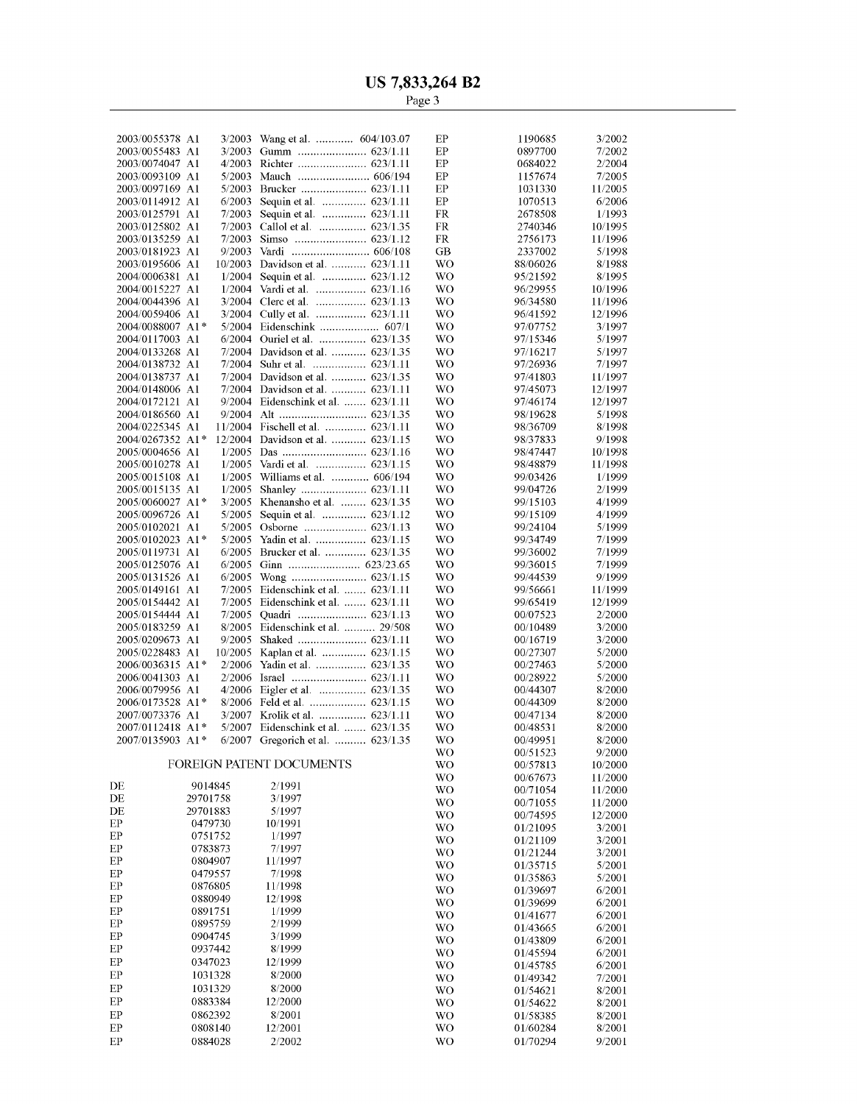| 2003/0055378 A1  |          | 3/2003 Wang et al.  604/103.07      | EP        | 1190685  | 3/2002  |
|------------------|----------|-------------------------------------|-----------|----------|---------|
| 2003/0055483 A1  | 3/2003   |                                     | EP        | 0897700  | 7/2002  |
| 2003/0074047 A1  |          |                                     | EP        |          |         |
|                  |          |                                     |           | 0684022  | 2/2004  |
| 2003/0093109 A1  |          | 5/2003 Mauch  606/194               | EP        | 1157674  | 7/2005  |
| 2003/0097169 A1  |          | 5/2003 Brucker  623/1.11            | EP        | 1031330  | 11/2005 |
| 2003/0114912 A1  | 6/2003   | Sequin et al.  623/1.11             | EP        | 1070513  | 6/2006  |
|                  |          |                                     |           |          |         |
| 2003/0125791 A1  | 7/2003   | Sequin et al.  623/1.11             | FR        | 2678508  | 1/1993  |
| 2003/0125802 A1  |          | 7/2003 Callol et al.  623/1.35      | <b>FR</b> | 2740346  | 10/1995 |
| 2003/0135259 A1  |          |                                     | FR.       | 2756173  | 11/1996 |
|                  |          |                                     |           |          |         |
| 2003/0181923 A1  |          |                                     | GB        | 2337002  | 5/1998  |
| 2003/0195606 A1  |          | 10/2003 Davidson et al.  623/1.11   | WO        | 88/06026 | 8/1988  |
| 2004/0006381 A1  | 1/2004   | Sequin et al.  623/1.12             | WO        | 95/21592 | 8/1995  |
|                  |          |                                     |           |          |         |
| 2004/0015227 A1  |          | 1/2004 Vardi et al.  623/1.16       | WO        | 96/29955 | 10/1996 |
| 2004/0044396 A1  |          | 3/2004 Clerc et al.  623/1.13       | WO        | 96/34580 | 11/1996 |
| 2004/0059406 A1  |          | 3/2004 Cully et al.  623/1.11       | WO        | 96/41592 | 12/1996 |
|                  |          |                                     |           |          |         |
| 2004/0088007 A1* |          | 5/2004 Eidenschink  607/1           | WO        | 97/07752 | 3/1997  |
| 2004/0117003 A1  |          | 6/2004 Ouriel et al.  623/1.35      | WO        | 97/15346 | 5/1997  |
| 2004/0133268 A1  |          | 7/2004 Davidson et al.  623/1.35    | WO        | 97/16217 | 5/1997  |
|                  |          |                                     |           |          |         |
| 2004/0138732 A1  |          | 7/2004 Suhr et al.  623/1.11        | WO        | 97/26936 | 7/1997  |
| 2004/0138737 A1  |          | 7/2004 Davidson et al.  623/1.35    | WO        | 97/41803 | 11/1997 |
| 2004/0148006 A1  |          | 7/2004 Davidson et al.  623/1.11    | WO        | 97/45073 | 12/1997 |
|                  |          |                                     |           |          |         |
| 2004/0172121 A1  |          | 9/2004 Eidenschink et al.  623/1.11 | WO        | 97/46174 | 12/1997 |
| 2004/0186560 A1  |          |                                     | WO        | 98/19628 | 5/1998  |
| 2004/0225345 A1  |          | 11/2004 Fischell et al.  623/1.11   | WO        | 98/36709 | 8/1998  |
| 2004/0267352 A1* |          |                                     | WO        |          |         |
|                  |          | 12/2004 Davidson et al.  623/1.15   |           | 98/37833 | 9/1998  |
| 2005/0004656 A1  |          |                                     | WO        | 98/47447 | 10/1998 |
| 2005/0010278 A1  |          | 1/2005 Vardi et al.  623/1.15       | WO        | 98/48879 | 11/1998 |
| 2005/0015108 A1  |          | 1/2005 Williams et al.  606/194     | WO        | 99/03426 | 1/1999  |
|                  |          |                                     |           |          |         |
| 2005/0015135 A1  | 1/2005   |                                     | WO        | 99/04726 | 2/1999  |
| 2005/0060027 A1* |          | 3/2005 Khenansho et al.  623/1.35   | WO        | 99/15103 | 4/1999  |
| 2005/0096726 A1  | 5/2005   | Sequin et al.  623/1.12             | WO        | 99/15109 | 4/1999  |
|                  |          |                                     |           |          |         |
| 2005/0102021 A1  |          |                                     | WO        | 99/24104 | 5/1999  |
| 2005/0102023 A1* | 5/2005   |                                     | WO        | 99/34749 | 7/1999  |
| 2005/0119731 A1  |          | 6/2005 Brucker et al.  623/1.35     | WO        | 99/36002 | 7/1999  |
|                  |          |                                     |           |          |         |
| 2005/0125076 A1  |          |                                     | WO        | 99/36015 | 7/1999  |
| 2005/0131526 A1  |          |                                     | WO        | 99/44539 | 9/1999  |
| 2005/0149161 A1  |          | 7/2005 Eidenschink et al.  623/1.11 | WO        | 99/56661 | 11/1999 |
|                  |          |                                     |           |          |         |
| 2005/0154442 A1  |          | 7/2005 Eidenschink et al.  623/1.11 | WO        | 99/65419 | 12/1999 |
| 2005/0154444 A1  | 7/2005   |                                     | WO        | 00/07523 | 2/2000  |
| 2005/0183259 A1  |          | 8/2005 Eidenschink et al.  29/508   | WO        | 00/10489 | 3/2000  |
|                  |          |                                     |           |          |         |
| 2005/0209673 A1  | 9/2005   |                                     | WO        | 00/16719 | 3/2000  |
| 2005/0228483 A1  |          | 10/2005 Kaplan et al.  623/1.15     | WO        | 00/27307 | 5/2000  |
| 2006/0036315 A1* | 2/2006   |                                     | WO        | 00/27463 | 5/2000  |
|                  |          |                                     |           |          |         |
| 2006/0041303 A1  | 2/2006   |                                     | WO        | 00/28922 | 5/2000  |
| 2006/0079956 A1  |          | 4/2006 Eigler et al.  623/1.35      | WO        | 00/44307 | 8/2000  |
| 2006/0173528 A1* |          | 8/2006 Feld et al.  623/1.15        | WO        | 00/44309 | 8/2000  |
|                  |          |                                     |           |          |         |
| 2007/0073376 A1  |          | 3/2007 Krolik et al.  623/1.11      | WO        | 00/47134 | 8/2000  |
| 2007/0112418 A1* | 5/2007   | Eidenschink et al.  623/1.35        | WO        | 00/48531 | 8/2000  |
| 2007/0135903 A1* |          | 6/2007 Gregorich et al.  623/1.35   | WO        | 00/49951 | 8/2000  |
|                  |          |                                     | WO        | 00/51523 | 9/2000  |
|                  |          |                                     |           |          |         |
|                  |          | FOREIGN PATENT DOCUMENTS            | WO        | 00/57813 | 10/2000 |
|                  |          |                                     | WO        | 00/67673 | 11/2000 |
| DE               | 9014845  | 2/1991                              | WO        | 00/71054 | 11/2000 |
| DE               | 29701758 | 3/1997                              |           |          |         |
| DE               | 29701883 | 5/1997                              | WO        | 00/71055 | 11/2000 |
|                  |          |                                     | WO        | 00/74595 | 12/2000 |
| EР               | 0479730  | 10/1991                             | WO        | 01/21095 | 3/2001  |
| EΡ               | 0751752  | 1/1997                              |           |          |         |
| EΡ               | 0783873  | 7/1997                              | WO        | 01/21109 | 3/2001  |
|                  |          |                                     | WO        | 01/21244 | 3/2001  |
| EΡ               | 0804907  | 11/1997                             | WO        | 01/35715 | 5/2001  |
| EΡ               | 0479557  | 7/1998                              |           |          |         |
| EΡ               | 0876805  | 11/1998                             | WO        | 01/35863 | 5/2001  |
|                  |          |                                     | WO        | 01/39697 | 6/2001  |
| EΡ               | 0880949  | 12/1998                             | WO        | 01/39699 | 6/2001  |
| EΡ               | 0891751  | 1/1999                              | WO        | 01/41677 | 6/2001  |
| EΡ               | 0895759  | 2/1999                              |           |          |         |
|                  |          |                                     | WO        | 01/43665 | 6/2001  |
| EΡ               | 0904745  | 3/1999                              | WO        | 01/43809 | 6/2001  |
| EΡ               | 0937442  | 8/1999                              | WO        | 01/45594 | 6/2001  |
| EΡ               | 0347023  | 12/1999                             |           |          |         |
|                  |          |                                     | WO        | 01/45785 | 6/2001  |
| EΡ               | 1031328  | 8/2000                              | WO        | 01/49342 | 7/2001  |
| $_{\rm EP}$      | 1031329  | 8/2000                              | WO        | 01/54621 | 8/2001  |
| EΡ               | 0883384  | 12/2000                             |           |          |         |
|                  |          |                                     | WO        | 01/54622 | 8/2001  |
| EΡ               | 0862392  | 8/2001                              | WO        | 01/58385 | 8/2001  |
| EΡ               | 0808140  | 12/2001                             | <b>WO</b> | 01/60284 | 8/2001  |
| EΡ               | 0884028  | 2/2002                              | WO        | 01/70294 | 9/2001  |
|                  |          |                                     |           |          |         |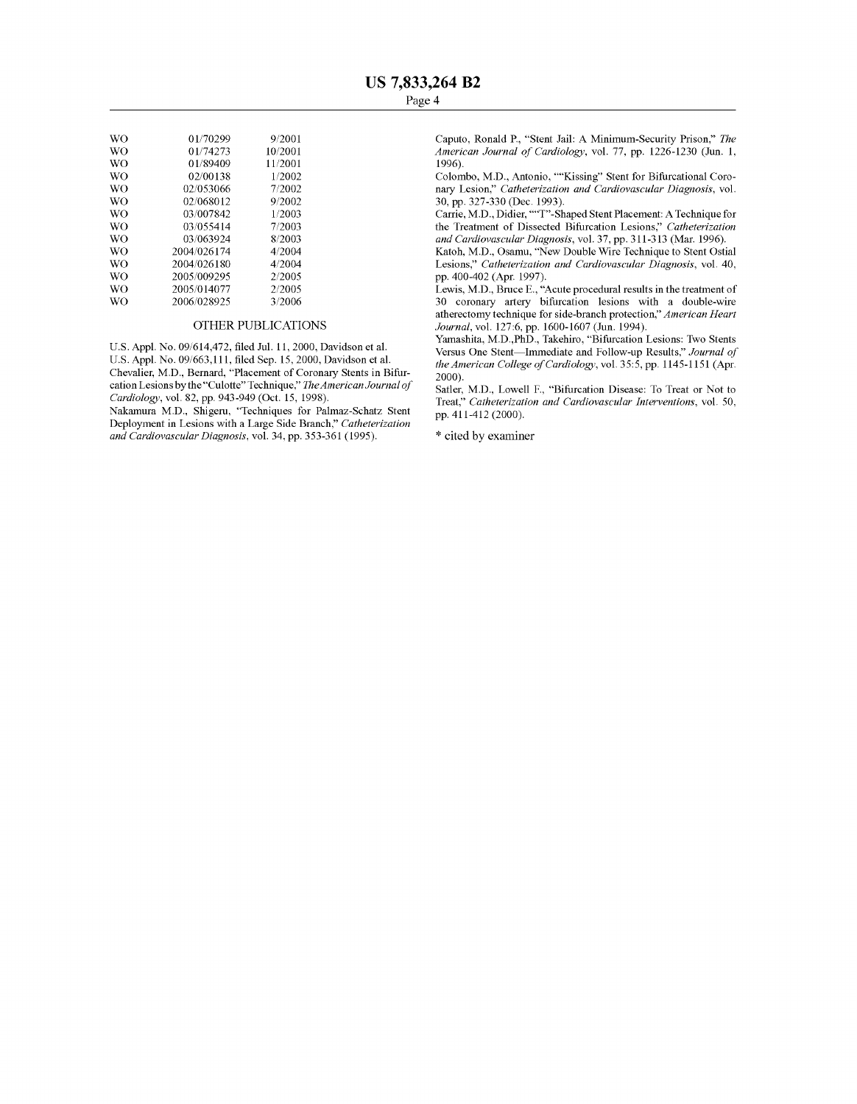| WΩ        | 01/70299    | 9/2001  |
|-----------|-------------|---------|
| WΟ        | 01/74273    | 10/2001 |
| WΟ        | 01/89409    | 11/2001 |
| WΟ        | 02/00138    | 1/2002  |
| WΟ        | 02/053066   | 7/2002  |
| WΟ        | 02/068012   | 9/2002  |
| WΟ        | 03/007842   | 1/2003  |
| WΟ        | 03/055414   | 7/2003  |
| WΟ        | 03/063924   | 8/2003  |
| WΟ        | 2004/026174 | 4/2004  |
| <b>WO</b> | 2004/026180 | 4/2004  |
| WΟ        | 2005/009295 | 2/2005  |
| WΟ        | 2005/014077 | 2/2005  |
| WΟ        | 2006/028925 | 3/2006  |
|           |             |         |

## OTHER PUBLICATIONS

U.S. Appl. No. 09/614,472, filed Jul. 11, 2000, Davidson et al. U.S. Appl. No. 09/663,111, filed Sep. 15, 2000, Davidson et al.

Chevalier, M.D., Bernard, "Placement of Coronary Stents in Bifur cation Lesions by the "Culotte" Technique," The American Journal of Cardiology, vol. 82, pp. 943-949 (Oct. 15, 1998).

Nakamura M.D., Shigeru, "Techniques for Palmaz-Schatz Stent Deployment in Lesions with a Large Side Branch." Catheterization and Cardiovascular Diagnosis, vol. 34, pp. 353-361 (1995).

Caputo, Ronald P. "Stent Jail: A Minimum-Security Prison." The American Journal of Cardiology, vol. 77, pp. 1226-1230 (Jun. 1,

1990).<br>Colombo, M.D., Antonio, ""Kissing" Stent for Bifurcational Coronary Lesion." Catheterization and Cardiovascular Diagnosis, vol. 30, pp. 327-330 (Dec. 1993).

Carrie, M.D., Didier, "T"-Shaped Stent Placement: A Technique for the Treatment of Dissected Bifurcation Lesions," *Catheterization* and Cardiovascular Diagnosis, vol. 37, pp. 311-313 (Mar. 1996).

Katoh, M.D., Osamu, "New Double Wire Technique to Stent Ostial Lesions." Catheterization and Cardiovascular Diagnosis, vol. 40, pp. 400-402 (Apr. 1997).

Lewis, M.D., Bruce E., "Acute procedural results in the treatment of 30 coronary artery bifurcation lesions with a double-wire atherectomy technique for side-branch protection." American Heart Journal, vol. 127:6. pp. 1600-1607 (Jun. 1994).

Yamashita, M.D., PhD., Takehiro, "Bifurcation Lesions: Two Stents Versus One Stent—Immediate and Follow-up Results." Journal of the American College of Cardiology, vol. 35:5, pp. 1145-1151 (Apr. 2000).

2000). Satler, M.D., Lowell F., "Bifurcation Disease: To Treat or Not to Treat," Catheterization and Cardiovascular Interventions, vol. 50, pp. 411-412 (2000).

\* cited by examiner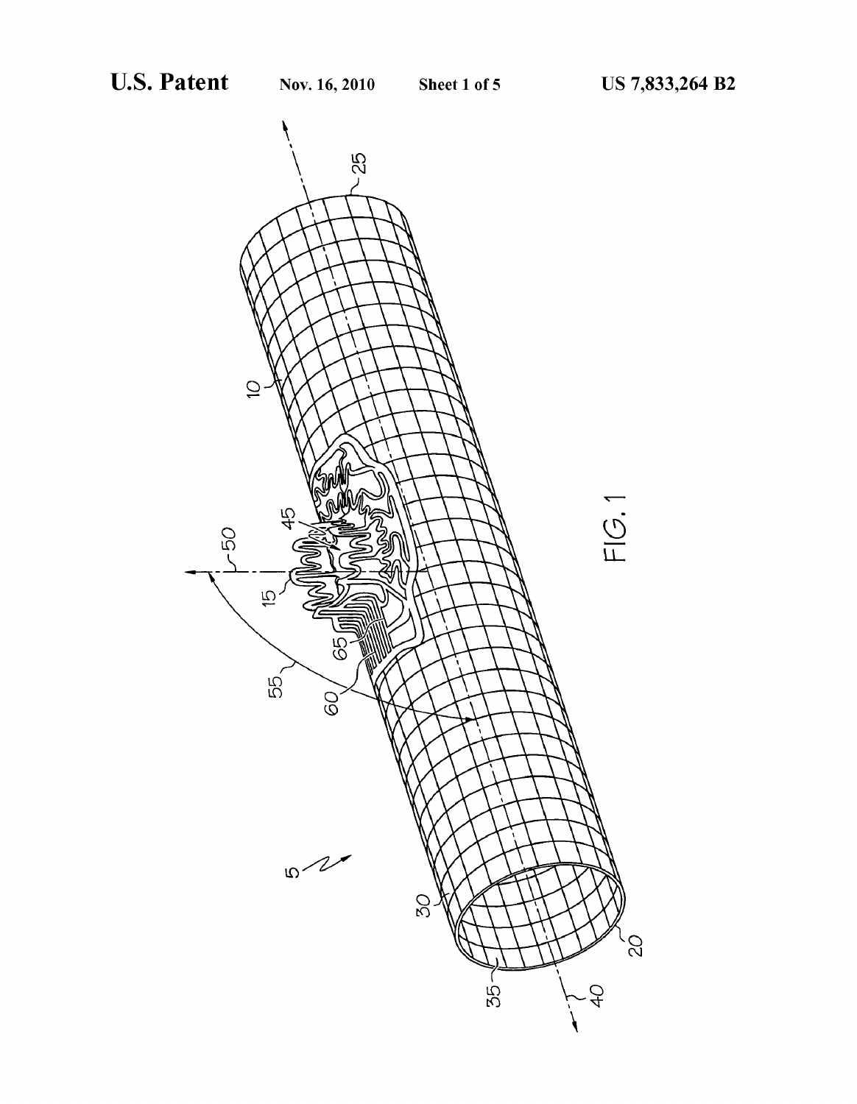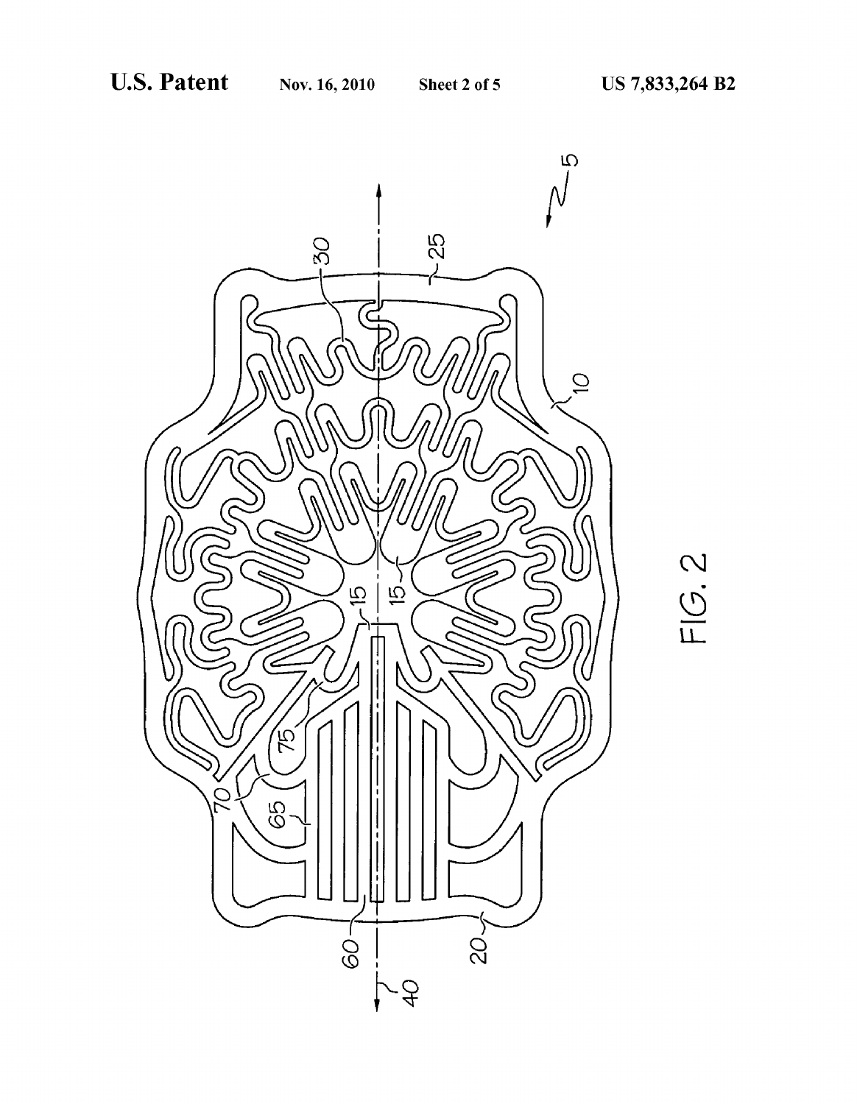

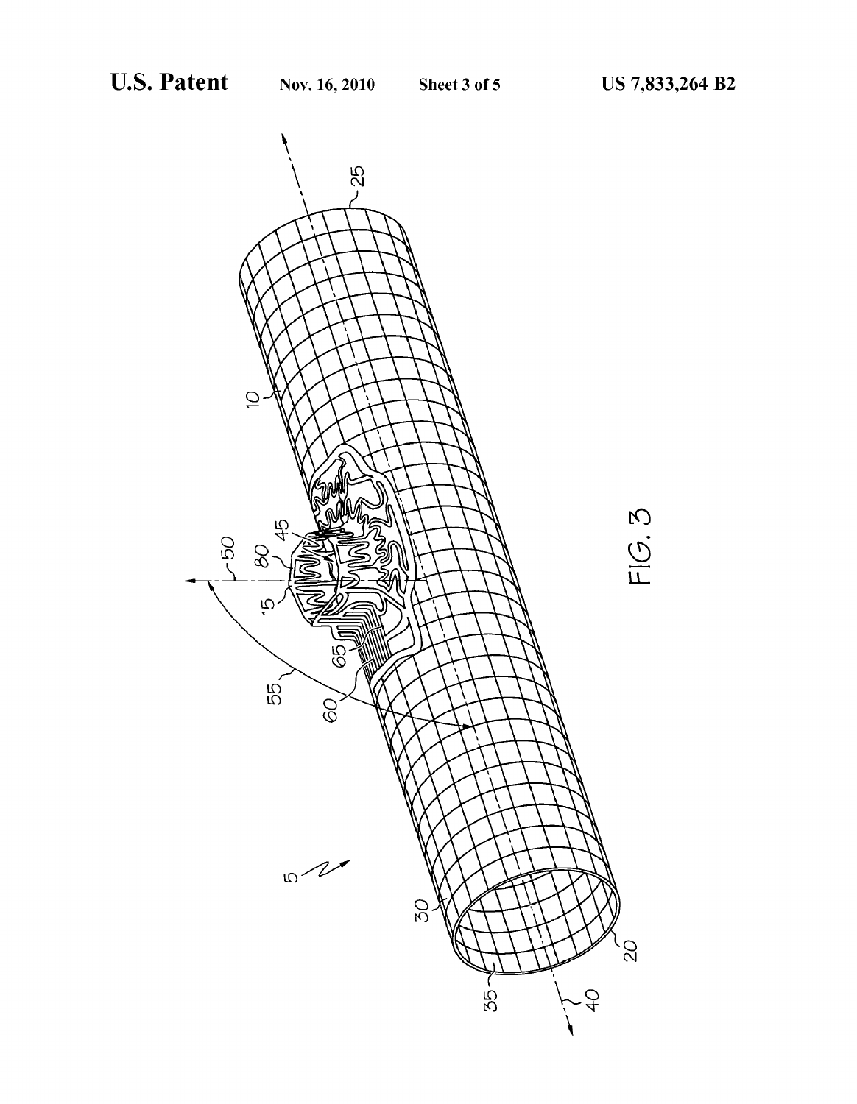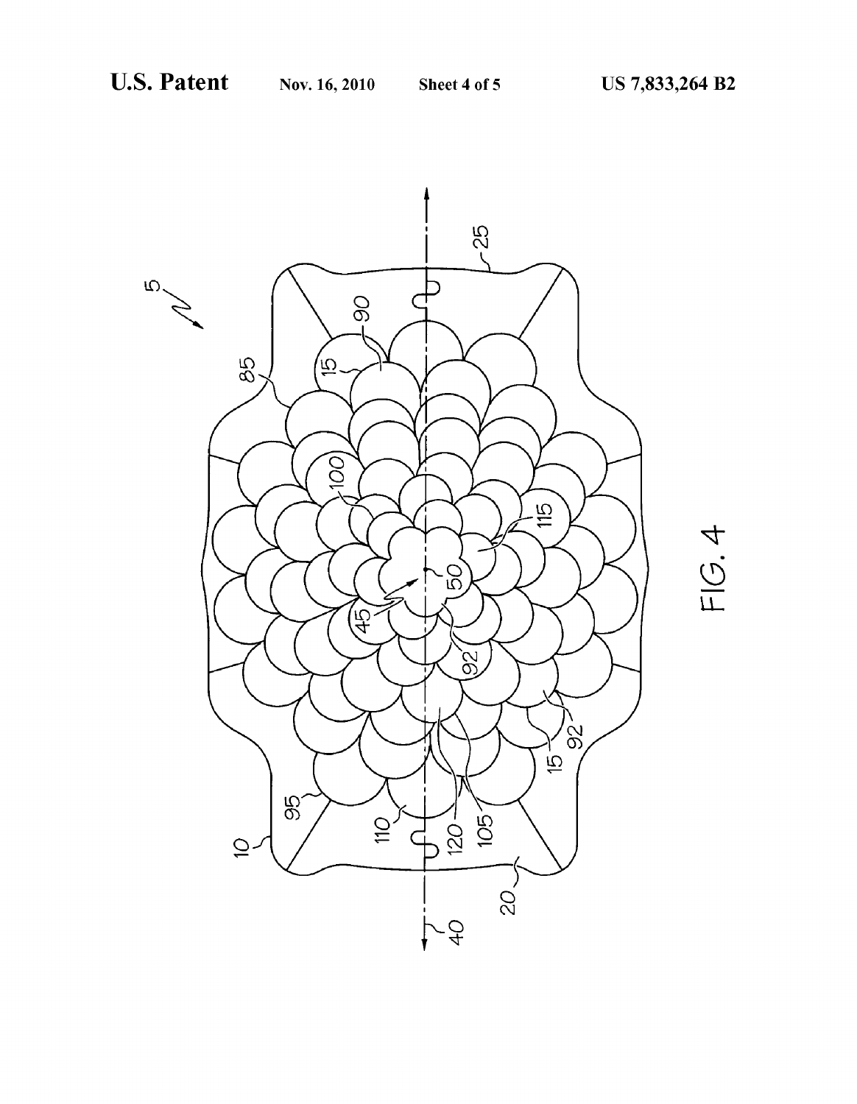

 $FIG.4$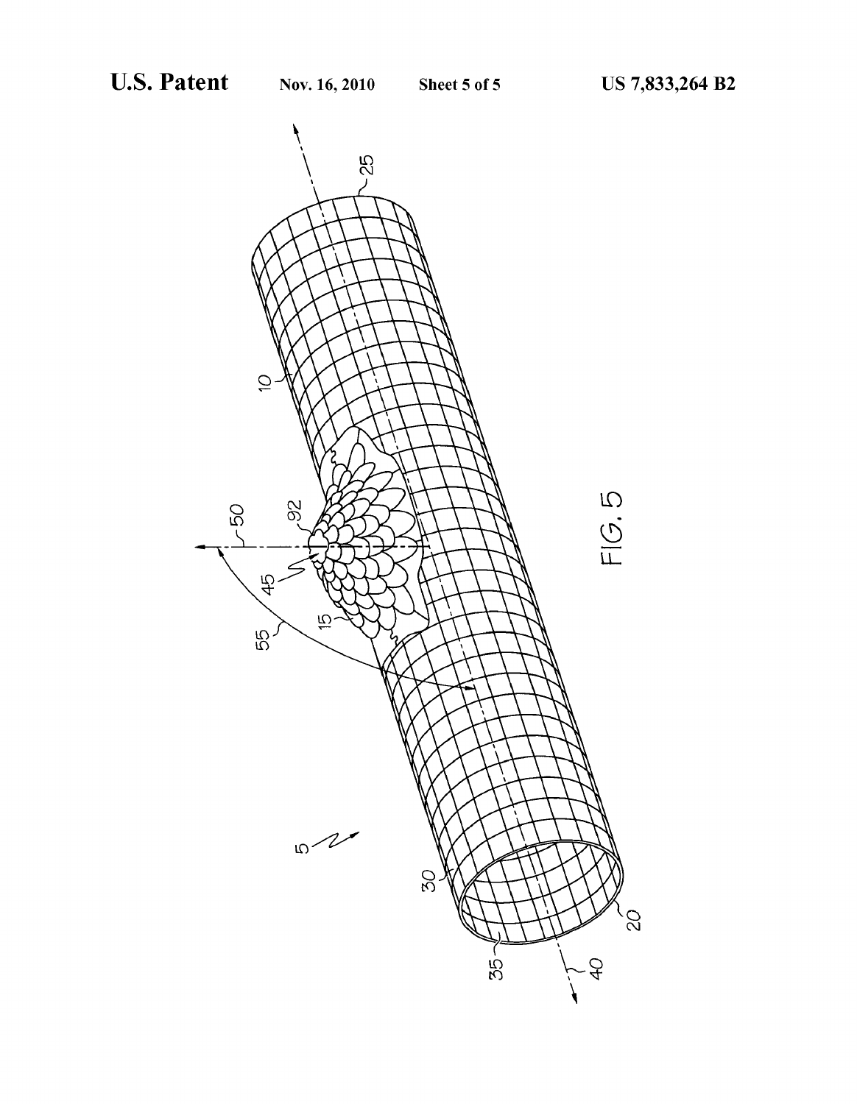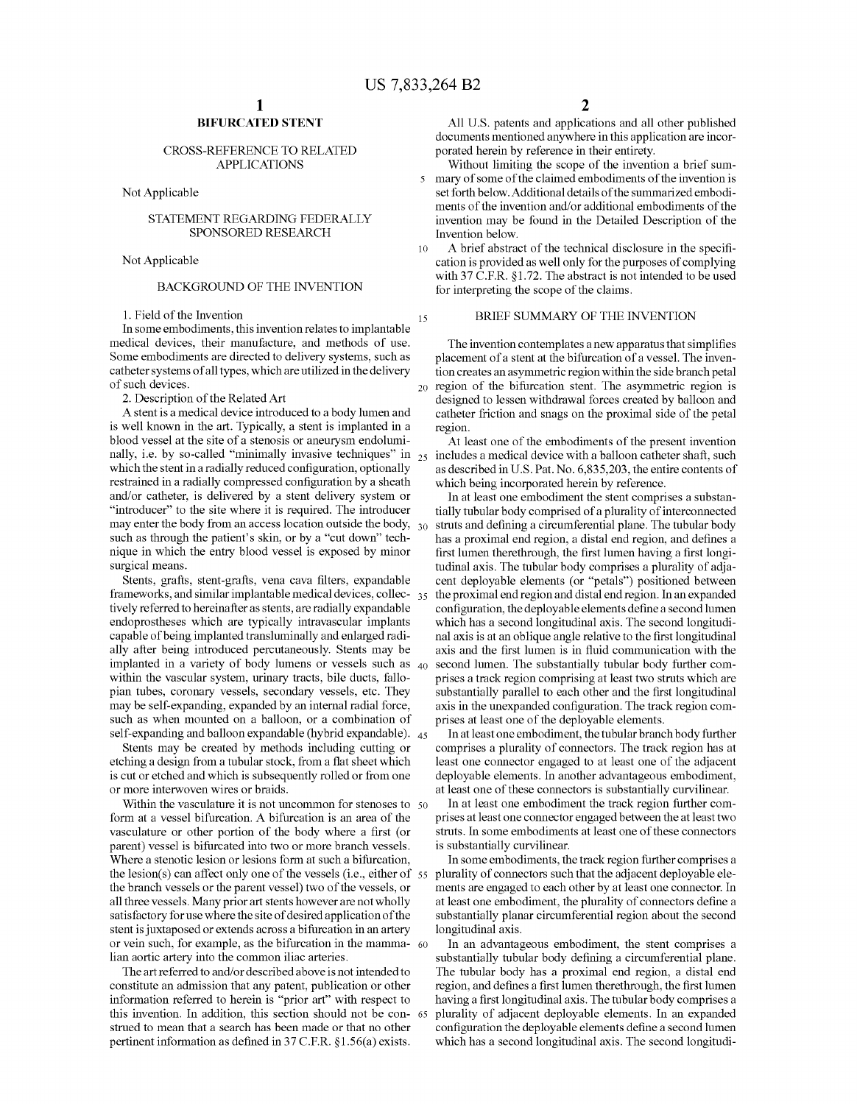$\tilde{\mathcal{L}}$ 

15

## **BIFURCATED STENT**

#### CROSS-REFERENCE TO RELATED APPLICATIONS

Not Applicable

#### STATEMENT REGARDING FEDERALLY SPONSORED RESEARCH

Not Applicable

#### BACKGROUND OF THE INVENTION

#### 1. Field of the Invention

In some embodiments, this invention relates to implantable medical devices, their manufacture, and methods of use. Some embodiments are directed to delivery systems, such as catheter systems of all types, which are utilized in the delivery of such devices.

2. Description of the Related Art

A stent is a medical device introduced to a body lumen and is well known in the art. Typically, a stent is implanted in a blood vessel at the site of a stenosis or aneurysm endolumi nally, i.e. by so-called "minimally invasive techniques" in  $_{25}$ which the stentina radially reduced configuration, optionally restrained in a radially compressed configuration by a sheath and/or catheter, is delivered by a stent delivery system or "introducer" to the site where it is required. The introducer may enter the body from an access location outside the body,  $\,$   $_{30}$ such as through the patient's skin, or by a "cut down" tech nique in which the entry blood vessel is exposed by minor surgical means.

Stents, grafts, stent-grafts, vena cava filters, expandable frameworks, and similar implantable medical devices, collec 35 tively referred to hereinafter as stents, are radially expandable endoprostheses which are typically intravascular implants capable of being implanted transluminally and enlarged radi ally after being introduced percutaneously. Stents may be implanted in a variety of body lumens or vessels such as  $_{40}$ within the vascular system, urinary tracts, bile ducts, fallo pian tubes, coronary vessels, secondary vessels, etc. They may be self-expanding, expanded by an internal radial force, such as when mounted on a balloon, or a combination of self-expanding and balloon expandable (hybrid expandable). 45

Stents may be created by methods including cutting or etching a design from a tubular stock, from a flat sheet which is cut or etched and which is subsequently rolled or from one or more interwoven wires or braids.

Within the vasculature it is not uncommon for stenoses to 50 form at a vessel bifurcation. A bifurcation is an area of the vasculature or other portion of the body where a first (or parent) vessel is bifurcated into two or more branch vessels. Where a stenotic lesion or lesions form at such a bifurcation, the lesion(s) can affect only one of the vessels (i.e., either of  $\overline{55}$ the branch vessels or the parent vessel) two of the vessels, or all three vessels. Many prior art stents however are not wholly satisfactory for use where the site of desired application of the stent is juxtaposed or extends across a bifurcation in an artery or vein such, for example, as the bifurcation in the mamma- 60 lian aortic artery into the common iliac arteries.

The art referred to and/or described above is not intended to constitute an admission that any patent, publication or other information referred to herein is "prior art" with respect to this invention. In addition, this section should not be con- 65 strued to mean that a search has been made or that no other pertinent information as defined in  $37$  C.F.R.  $§1.56(a)$  exists.

All U.S. patents and applications and all other published documents mentioned anywhere in this application are incor porated herein by reference in their entirety.

- Without limiting the scope of the invention a brief sum mary of some of the claimed embodiments of the invention is set forth below. Additional details of the summarized embodi ments of the invention and/or additional embodiments of the invention may be found in the Detailed Description of the Invention below.
- 10 A brief abstract of the technical disclosure in the specifi cation is provided as well only for the purposes of complying with 37 C.F.R. §1.72. The abstract is not intended to be used for interpreting the scope of the claims.

## BRIEF SUMMARY OF THE INVENTION

The invention contemplates a new apparatus that simplifies placement of a stent at the bifurcation of a vessel. The inven  $20$  region of the bifurcation stent. The asymmetric region is designed to lessen withdrawal forces created by balloon and catheter friction and Snags on the proximal side of the petal region.

At least one of the embodiments of the present invention includes a medical device with a balloon catheter shaft, such as described in U.S. Pat. No. 6,835,203, the entire contents of which being incorporated herein by reference.

In at least one embodiment the stent comprises a substantially tubular body comprised of a plurality of interconnected struts and defining a circumferential plane. The tubular body has a proximal end region, a distal end region, and defines a tudinal axis. The tubular body comprises a plurality of adjacent deployable elements (or "petals') positioned between the proximal end region and distal end region. In an expanded configuration, the deployable elements define a second lumen which has a second longitudinal axis. The second longitudi nal axis is at an oblique angle relative to the first longitudinal axis and the first lumen is in fluid communication with the second lumen. The substantially tubular body further com prises a track region comprising at least two struts which are substantially parallel to each other and the first longitudinal axis in the unexpanded configuration. The track region com prises at least one of the deployable elements.

In at least one embodiment, the tubular branch body further comprises a plurality of connectors. The track region has at least one connector engaged to at least one of the adjacent deployable elements. In another advantageous embodiment, at least one of these connectors is substantially curvilinear.

In at least one embodiment the track region further com prises at least one connector engaged between the at least two struts. In some embodiments at least one of these connectors is substantially curvilinear.

In some embodiments, the track region further comprises a plurality of connectors such that the adjacent deployable ele ments are engaged to each other by at least one connector. In at least one embodiment, the plurality of connectors define a substantially planar circumferential region about the second longitudinal axis.

In an advantageous embodiment, the stent comprises a substantially tubular body defining a circumferential plane. The tubular body has a proximal end region, a distal end region, and defines a first lumen therethrough, the first lumen having a first longitudinal axis. The tubular body comprises a plurality of adjacent deployable elements. In an expanded configuration the deployable elements define a second lumen which has a second longitudinal axis. The second longitudi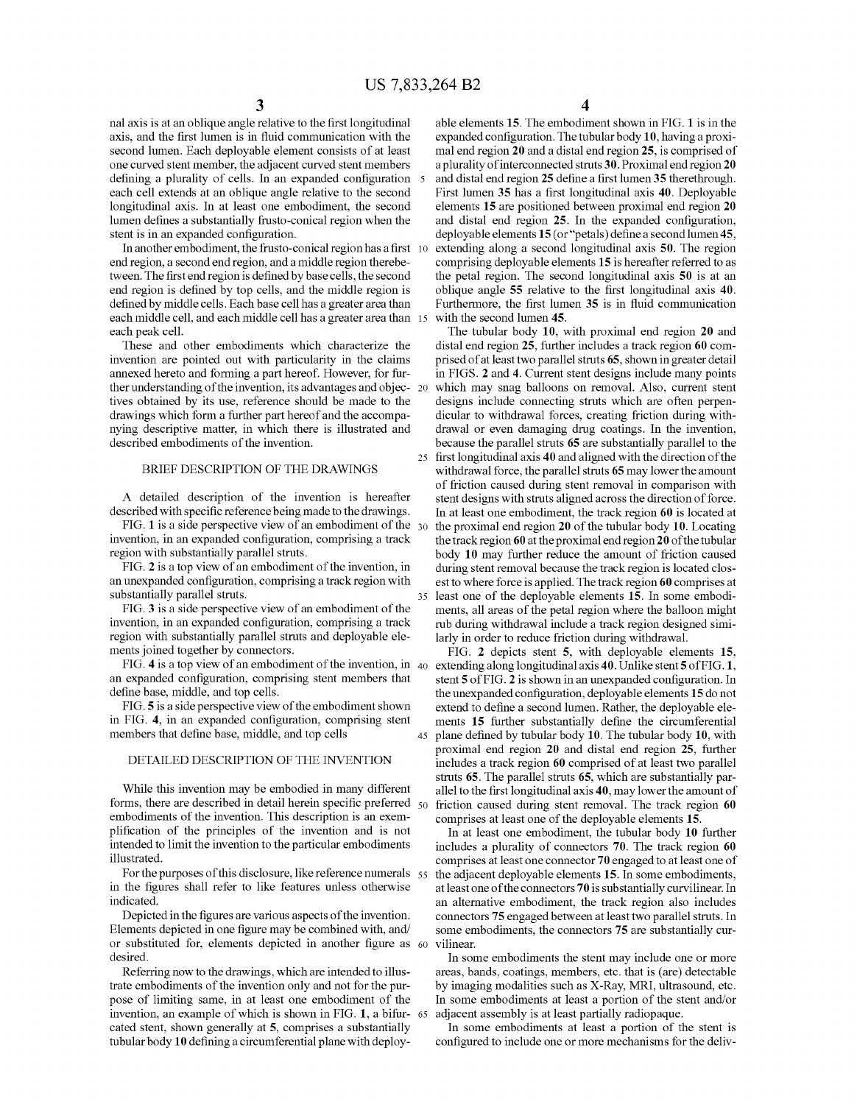nal axis is at an oblique angle relative to the first longitudinal axis, and the first lumen is in fluid communication with the second lumen. Each deployable element consists of at least one curved stent member, the adjacent curved stent members defining a plurality of cells. In an expanded configuration 5 each cell extends at an oblique angle relative to the second longitudinal axis. In at least one embodiment, the second lumen defines a substantially frusto-conical region when the stent is in an expanded configuration.

In another embodiment, the frusto-conical region has a first 10 end region, a second end region, and a middle region therebetween. The first end region is defined by base cells, the second end region is defined by top cells, and the middle region is defined by middle cells. Each base cell has a greater area than each middle cell, and each middle cell has a greater area than 15 each peak cell.

These and other embodiments which characterize the invention are pointed out with particularity in the claims annexed hereto and forming a part hereof. However, for further understanding of the invention, its advantages and objec- 20 tives obtained by its use, reference should be made to the drawings which form a further part hereof and the accompanying descriptive matter, in which there is illustrated and described embodiments of the invention.

## BRIEF DESCRIPTION OF THE DRAWINGS

A detailed description of the invention is hereafter described with specific reference being made to the drawings.

FIG. 1 is a side perspective view of an embodiment of the  $_{30}$ invention, in an expanded configuration, comprising a track region with substantially parallel struts.

FIG. 2 is a top view of an embodiment of the invention, in an unexpanded configuration, comprising a track region with substantially parallel struts.

FIG. 3 is a side perspective view of an embodiment of the invention, in an expanded configuration, comprising a track region with substantially parallel struts and deployable elements joined together by connectors.

an expanded configuration, comprising stent members that define base, middle, and top cells.

FIG. 5 is a side perspective view of the embodiment shown in FIG. 4, in an expanded configuration, comprising stent members that define base, middle, and top cells

## DETAILED DESCRIPTION OF THE INVENTION

While this invention may be embodied in many different forms, there are described in detail herein specific preferred  $50$ embodiments of the invention. This description is an exemplification of the principles of the invention and is not intended to limit the invention to the particular embodiments illustrated.

For the purposes of this disclosure, like reference numerals  $55$ in the figures shall refer to like features unless otherwise indicated.

Depicted in the figures are various aspects of the invention. Elements depicted in one figure may be combined with, and/ or substituted for, elements depicted in another figure as 60 desired.

Referring now to the drawings, which are intended to illustrate embodiments of the invention only and not for the purpose of limiting same, in at least one embodiment of the invention, an example of which is shown in FIG. 1, a bifurcated stent, shown generally at 5, comprises a substantially tubular body 10 defining a circumferential plane with deploy $\boldsymbol{\varDelta}$ 

able elements 15. The embodiment shown in FIG. 1 is in the expanded configuration. The tubular body  $10$ , having a proximal end region 20 and a distal end region 25, is comprised of a plurality of interconnected struts 30. Proximal end region 20 and distal end region 25 define a first lumen 35 therethrough. First lumen 35 has a first longitudinal axis 40. Deployable elements 15 are positioned between proximal end region 20 and distal end region 25. In the expanded configuration, deployable elements 15 (or "petals) define a second lumen 45, extending along a second longitudinal axis 50. The region comprising deployable elements 15 is hereafter referred to as the petal region. The second longitudinal axis 50 is at an oblique angle 55 relative to the first longitudinal axis 40. Furthermore, the first lumen 35 is in fluid communication with the second lumen 45.

The tubular body 10, with proximal end region 20 and distal end region 25, further includes a track region 60 comprised of at least two parallel struts 65, shown in greater detail in FIGS. 2 and 4. Current stent designs include many points which may snag balloons on removal. Also, current stent designs include connecting struts which are often perpendicular to withdrawal forces, creating friction during withdrawal or even damaging drug coatings. In the invention, because the parallel struts 65 are substantially parallel to the 25 first longitudinal axis 40 and aligned with the direction of the withdrawal force, the parallel struts 65 may lower the amount of friction caused during stent removal in comparison with stent designs with struts aligned across the direction of force. In at least one embodiment, the track region 60 is located at the proximal end region 20 of the tubular body 10. Locating the track region 60 at the proximal end region 20 of the tubular body 10 may further reduce the amount of friction caused during stent removal because the track region is located closest to where force is applied. The track region 60 comprises at least one of the deployable elements 15. In some embodiments, all areas of the petal region where the balloon might rub during withdrawal include a track region designed similarly in order to reduce friction during withdrawal.

FIG. 2 depicts stent 5, with deployable elements 15, FIG. 4 is a top view of an embodiment of the invention, in 40 extending along longitudinal axis 40. Unlike stent 5 of FIG. 1, stent 5 of FIG. 2 is shown in an unexpanded configuration. In the unexpanded configuration, deployable elements 15 do not extend to define a second lumen. Rather, the deployable elements 15 further substantially define the circumferential 45 plane defined by tubular body 10. The tubular body 10, with proximal end region 20 and distal end region 25, further includes a track region 60 comprised of at least two parallel struts 65. The parallel struts 65, which are substantially parallel to the first longitudinal axis 40, may lower the amount of friction caused during stent removal. The track region 60 comprises at least one of the deployable elements 15.

> In at least one embodiment, the tubular body 10 further includes a plurality of connectors 70. The track region 60 comprises at least one connector 70 engaged to at least one of the adjacent deployable elements 15. In some embodiments, at least one of the connectors 70 is substantially curvilinear. In an alternative embodiment, the track region also includes connectors 75 engaged between at least two parallel struts. In some embodiments, the connectors 75 are substantially curvilinear.

> In some embodiments the stent may include one or more areas, bands, coatings, members, etc. that is (are) detectable by imaging modalities such as X-Ray, MRI, ultrasound, etc. In some embodiments at least a portion of the stent and/or adjacent assembly is at least partially radiopaque.

> In some embodiments at least a portion of the stent is configured to include one or more mechanisms for the deliv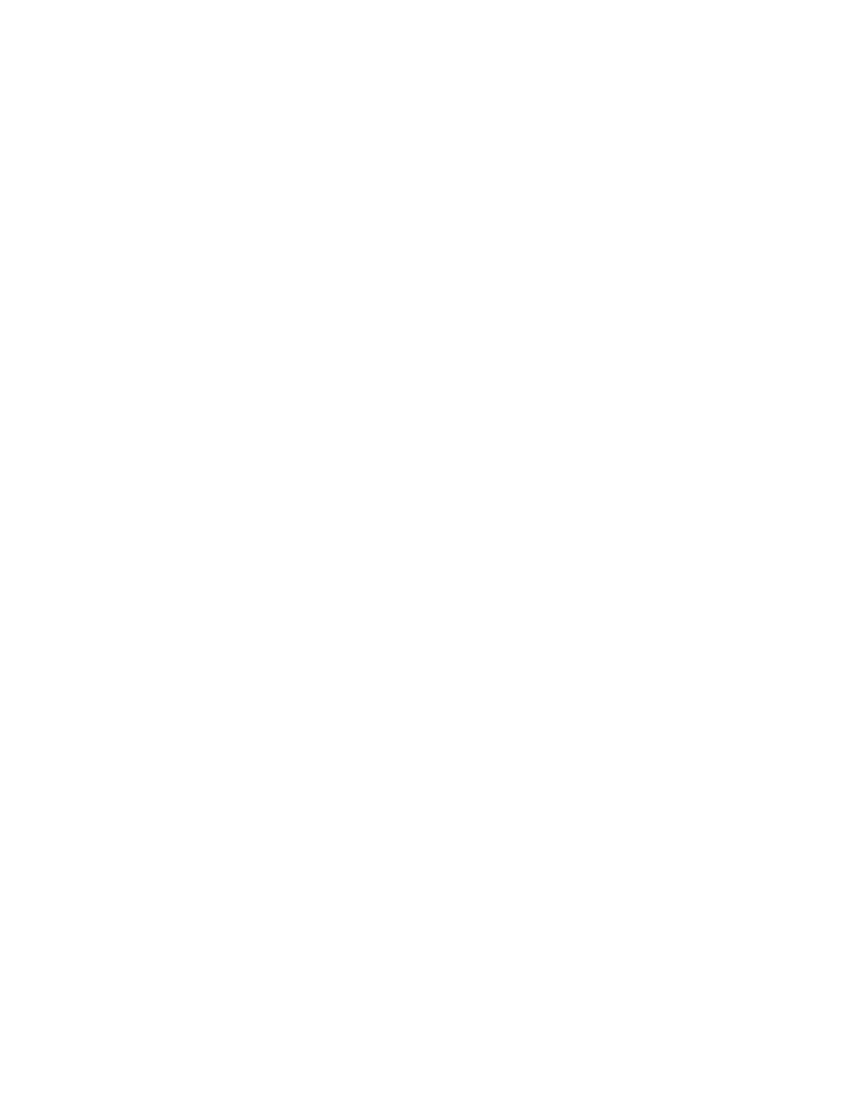ery of a therapeutic agent. Often the agent will be in the form of a coating or other layer (or layers) of material placed on a surface region of the stent, which is adapted to be released at the site of the stent's implantation or areas adjacent thereto. A therapeutic agent may be a drug or other pharmaceutical 5 product such as non-genetic agents, genetic agents, cellular material, etc. Some examples of suitable non-genetic therapeutic agents include but are not limited to: anti-thrombogenic agents such as heparin, heparin derivatives, vascular cell growth promoters, growth factor inhibitors, Paclitaxel,  $10$ etc. Where an agent includes a genetic therapeutic agent, such a genetic agent may include but is not limited to: DNA, RNA and their respective derivatives and/or components; hedgehog proteins, etc. Where a therapeutic agent includes cellular material, the cellular material may include but is not limited 15 to: cells of human origin and/or non-human origin as well as their respective components and/or derivatives thereof. Where the therapeutic agent includes a polymer agent, the polymer agent may be a polystyrene-polyisobutylene-polystyrene triblock copolymer (SIBS), polyethylene oxide, sili-20 cone rubber and/or any other suitable substrate.

FIG. 3 shows stent 5 in an expanded configuration, extending along first longitudinal axis 40. Stent 5 comprises a substantially tubular body 10 with deployable elements 15. The tubular body 10, having a proximal end region  $20$  and a distal  $25$ end region 25, defines a first lumen 35 therethrough. Furthermore, tubular body 10 is comprised of a plurality of interconnected struts 30. First lumen 35 has a first longitudinal axis 40. Deployable elements 15 are positioned between proximal end region 20 and distal end region 25. In the expanded 30 configuration, deployable elements 15 define a second lumen 45, extending along a second longitudinal axis 50. The second longitudinal axis 50 is at an oblique angle 55 relative to the first longitudinal axis 40. Furthermore, the first lumen 35 is in fluid communication with the second lumen 45.

FIG. 3 further includes track region 60 which is desirably placed on the proximal side of the petal region. In one embodiment, adjacent deployable elements 15 are joined to each other by at least one connector 80. By using connectors 80, the deployable elements will, in the expanded configura- 40 tion, present a smoothly undulating, or preferably straight, crown rather than one with discernible peaks. In at least one embodiment, a plurality of connectors 80 forms an annular, substantially planar, region about second longitudinal axis 50

In FIGS. 4 and 5, stent 5 is shown in an expanded configuration. Stent 5 is comprised of a substantially tubular body 10 with proximal end region 20 and distal end region 25. Tubular body 10, comprised of interconnected struts 30 (as shown in FIG. 5), defines a first lumen 35, which extends along first 50 longitudinal axis 40, and comprises a plurality of adjacent deployable elements 15. Deployable elements 15 define a second lumen 45 which extends along second longitudinal axis 50. The second longitudinal axis 50 is at an oblique angle 55 relative to the first longitudinal axis 40, as seen in FIG. 5. 55 Second lumen 45 is in fluid communication with first lumen 35

As shown in FIG. 4, each deployable element consists of one curved stent member 85. Adjacent stent members 85 define a plurality of cells 90. In the expanded configuration, in 60 at least one embodiment, the second lumen 45 defines a substantial frusto-conical region 92, as shown in FIG. 4. The frusto-conical region has a first end region 95, a second end region 100, and a middle region 105 therebetween. First end region 95 is defined by base cells 110, middle region 105 is 65 defined by middle cells 120, and second end region 100 is defined by top cells 115. Each base cell 110 has a greater area

than each middle cell 120, and each middle cell 120 has a greater area than each top cell 115.

The above disclosure is intended to be illustrative and not exhaustive. This description will suggest many variations and alternatives to one of ordinary skill in this art. The various elements shown in the individual figures and described above may be combined or modified for combination as desired. All these alternatives and variations are intended to be included within the scope of the claims where the term "comprising" means "including, but not limited to".

Further, the particular features presented in the dependent claims can be combined with each other in other manners within the scope of the invention such that the invention should be recognized as also specifically directed to other embodiments having any other possible combination of the features of the dependent claims. For instance, for purposes of claim publication, any dependent claim which follows should be taken as alternatively written in a multiple dependent form from all prior claims which possess all antecedents referenced in such dependent claim if such multiple dependent format is an accepted format within the jurisdiction (e.g. each claim depending directly from claim 1 should be alternatively taken as depending from all previous claims). In jurisdictions where multiple dependent claim formats are restricted, the following dependent claims should each be also taken as alternatively written in each singly dependent claim format which creates a dependency from a prior antecedent-possessing claim other than the specific claim listed in such dependent claim below.

The invention claimed is:

35

45

1. A stent for placement at a vessel bifurcation, the stent having an expanded configuration and an unexpanded configuration, the stent comprising:

- a substantially tubular body comprised of a plurality of interconnected struts defining a sidewall, the tubular body having a proximal end region, a distal end region, and defining a first lumen therethrough, the first lumen having a first longitudinal axis, the tubular body comprising a side branch structure and a support ring positioned between the proximal end region and distal end region said support ring surrounding said side branch structure, said side branch structure comprising a plurality of adjacent deployable elements, said deployable elements surrounding a side branch opening, in the expanded configuration the deployable elements defining a second lumen, the second lumen having a branch axis, the branch axis being at an angle relative to the first longitudinal axis, the first lumen being in fluid communication with the second lumen;
- the substantially tubular body comprising a track region located proximal to the side branch opening, the track region comprising at least two struts which are straight and parallel to each other and the first longitudinal axis in the unexpanded configuration, each of said at least two struts defining at least a portion of at least one of the deployable elements at one end and attached to said support ring at another end, each of the at least two struts comprised of a first portion and a second portion, the first portion and second portion defining a portion of the first lumen in the unexpanded configuration,
- wherein in the expanded configuration, the first portion of the at least two struts defines a portion of the first lumen, and the second portion of the at least two struts defines a portion of the second lumen.

2. The stent of claim 1 wherein the tubular body further comprises a plurality of connectors, the track region having at